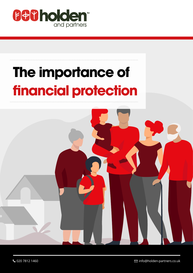

# **The importance of financial protection**

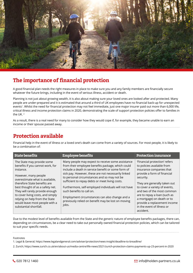

## **The importance of financial protection**

A good financial plan needs the right measures in place to make sure you and any family members are financially secure whatever the future brings, including in the event of serious illness, accident or death.

Planning is not just about growing wealth, it is also about making sure your loved ones are looked after and protected. Many people are under-prepared and it is estimated that around a third of UK employees have no financial back-up for unexpected events<sup>1</sup>. Whilst the need for financial protection may not feel immediate, just one major insurer paid out more than 6,000 life, critical illness and income protection claims in 2020, demonstrating the scale of support protection policies offer to families in the UK. 2

As a result, there is a real need for many to consider how they would cope if, for example, they became unable to earn an income or their spouse passed away.

#### **Protection available**

Financial help in the event of illness or a loved one's death can come from a variety of sources. For most people, it is likely to be a combination of:

| <b>State benefits</b>                                                                                                                                                                                                                                                                                                                                  | <b>Employee benefits</b>                                                                                                                                                                                                                                                                                                                                                                                                                                                                                                    | <b>Protection insurance</b>                                                                                                                                                                                                                                                                                                      |
|--------------------------------------------------------------------------------------------------------------------------------------------------------------------------------------------------------------------------------------------------------------------------------------------------------------------------------------------------------|-----------------------------------------------------------------------------------------------------------------------------------------------------------------------------------------------------------------------------------------------------------------------------------------------------------------------------------------------------------------------------------------------------------------------------------------------------------------------------------------------------------------------------|----------------------------------------------------------------------------------------------------------------------------------------------------------------------------------------------------------------------------------------------------------------------------------------------------------------------------------|
| The State may provide some<br>benefits if you cannot work, for<br>instance.<br>However, many people<br>overestimate what is available,<br>therefore State benefits are<br>best thought of as a safety net.<br>They will rarely provide enough<br>to cover living costs, and simply<br>relying on help from the State<br>would leave most people with a | Many people may expect to receive some assistance<br>from their employee benefits package, which could<br>include a death in service benefit or some form of<br>sick pay. However, these are not necessarily linked<br>to personal circumstances and so may not be<br>sufficient to repay debts or meet living costs.<br>Furthermore, self-employed individuals will not have<br>such benefits to call on.<br>Employment circumstances can also change and a<br>previously relied on benefit may be lost on moving<br>jobs. | 'Financial protection' refers<br>to policies available from<br>insurance companies that<br>provide a form of financial<br>security.<br>They are generally taken out<br>to cover a variety of events,<br>and two of the most common<br>are to repay a loan (such as<br>a mortgage) on death or to<br>provide a replacement income |
| substantial shortfall.                                                                                                                                                                                                                                                                                                                                 |                                                                                                                                                                                                                                                                                                                                                                                                                                                                                                                             | in the event of illness or<br>accident.                                                                                                                                                                                                                                                                                          |

Due to the modest level of benefits available from the State and the generic nature of employee benefits packages, there can, depending on circumstances, be a clear need to take out personally owned financial protection policies, which can be tailored to suit your specific needs.

#### Footnotes

- 1. Legal & General; https://www.legalandgeneral.com/adviser/protection/news-insight/deadline-to-breadline/
- 2. Zurich; https://www.zurich.co.uk/en/about-us/media-centre/life-news/2021/zurich-protection-claims-payments-up-23-percent-in-2020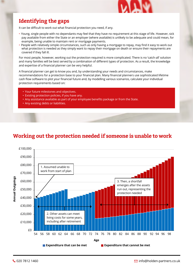

# **Identifying the gaps**

It can be difficult to work out what financial protection you need, if any.

- Young, single people with no dependants may feel that they have no requirement at this stage of life. However, sick pay available from either the State or an employer (where available) is unlikely to be adequate and could mean, for example, being unable to maintain rent or mortgage payments.
- People with relatively simple circumstances, such as only having a mortgage to repay, may find it easy to work out what protection is needed as they simply want to repay their mortgage on death or ensure their repayments are covered if they fall ill.

For most people, however, working out the protection required is more complicated. There is no 'catch-all' solution and many families will be best served by a combination of different types of protection. As a result, the knowledge and expertise of a financial planner can be very helpful.

A financial planner can get to know you and, by understanding your needs and circumstances, make recommendations for a protection base to your financial plan. Many financial planners use sophisticated lifetime cash flow software to plot your financial future and, by modelling various scenarios, calculate your individual protection requirements based on:

- Your future milestones and objectives.
- Existing protection policies, if you have any.
- Any assistance available as part of your employee benefits package or from the State.
- Any existing debts or liabilities.

# **Working out the protection needed if someone is unable to work**

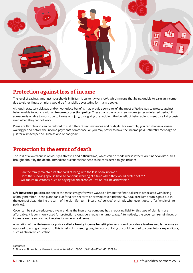

#### **Protection against loss of income**

The level of savings amongst households in Britain is currently very low<sup>3</sup>, which means that being unable to earn an income due to either illness or injury would be financially devastating for many people.

Although statutory sick pay and/or workplace benefits may provide some relief, the most effective way to protect against being unable to work is with an **income protection policy**. These plans pay a tax-free income (after a deferred period) if someone is unable to work due to illness or injury, thus giving the recipient the benefit of being able to meet core living costs even when they cannot work.

Plans are flexible and can be tailored to suit different circumstances and budgets. For example, you can choose a longer waiting period before the income payments commence, or you may prefer to have the income paid until retirement age or just for a limited period, such as one or two years.

## **Protection in the event of death**

The loss of a loved one is obviously a stressful and difficult time, which can be made worse if there are financial difficulties brought about by the death. Immediate questions that need to be considered might include:

- Can the family maintain its standard of living with the loss of an income?
- Does the surviving spouse have to continue working at a time when they would prefer not to?
- Will future milestones, such as paying for children's education, still be achievable?

**Life insurance policies** are one of the most straightforward ways to alleviate the financial stress associated with losing a family member. These plans can run for a pre-set term or provide cover indefinitely. A tax-free lump sum is paid out in the event of death during the term of the plan (for 'term insurance' policies) or simply whenever it occurs (for 'whole of life' policies).

Cover can be set to reduce each year and, as the insurance company has a reducing liability, this type of plan is more affordable. It is commonly used for protection alongside a repayment mortgage. Alternatively, the cover can remain level, or increase each year so that it retains its value in real terms.

A variation of the life insurance policy, called a **family income benefit** plan, exists and provides a tax-free regular income as opposed to a single lump sum. This is helpful in meeting ongoing costs of living or could be used to cover future expenditure, such as children's education.

Footnotes

3. Financial Times; https://www.ft.com/content/9afd1596-61d3-11e9-a27a-fdd51850994c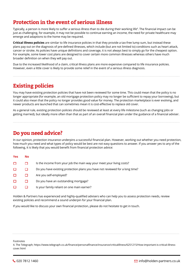# **Protection in the event of serious illness**

Typically, a person is more likely to suffer a serious illness than to die during their working life<sup>4</sup>. The financial impact can be just as challenging, for example, it may not be possible to continue earning an income, the need for private healthcare may emerge and adaptions to the home may be required.

**Critical illness policies** are similar to life insurance policies in that they provide a tax-free lump sum, but instead these plans pay out on the diagnosis of pre-defined illnesses, which include (but are not limited to) conditions such as heart attack, cancer or stroke. As policies have unique definitions and coverage, it is not always best to simply go for the cheapest option. For example, some lower cost plans are designed to cover certain more common illnesses whereas others have much broader definition on when they will pay out.

Due to the increased likelihood of a claim, critical illness plans are more expensive compared to life insurance policies. However, even a little cover is likely to provide some relief in the event of a serious illness diagnosis.

## **Existing policies**

You may have existing protection policies that have not been reviewed for some time. This could mean that the policy is no longer appropriate (for example, an old mortgage protection policy may no longer be sufficient to repay your borrowing), but it could also mean that the policy no longer provides good value for money. The protection marketplace is ever evolving, and newer products are launched that can sometimes mean it is cost-effective to replace old cover.

As a general rule, existing protection policies should be reviewed at least at every life milestone (such as changing jobs or getting married), but ideally more often than that as part of an overall financial plan under the guidance of a financial adviser.

#### **Do you need advice?**

In our opinion, protection insurance underpins a successful financial plan. However, working out whether you need protection, how much you need and what types of policy would be best are not easy questions to answer. If you answer yes to any of the following, it is likely that you would benefit from financial protection advice:

| Yes | <b>No</b> |                                                                              |
|-----|-----------|------------------------------------------------------------------------------|
| □   |           | Is the income from your job the main way your meet your living costs?        |
| □   |           | Do you have existing protection plans you have not reviewed for a long time? |
| □   |           | Are you self-employed?                                                       |
| □   |           | Do you have an outstanding mortgage?                                         |
| Е   |           | Is your family reliant on one main earner?                                   |
|     |           |                                                                              |

Holden & Partners has experienced and highly-qualified advisers who can help you to assess protection needs, review existing policies and recommend a sound underpin for your financial plan.

If you would like to discuss your own financial protection, please do not hesitate to get in touch.

#### Footnotes

4. The Telegraph; https://www.telegraph.co.uk/finance/personalfinance/insurance/criticalillness/6251215/How-important-is-critical-illnesscover.html